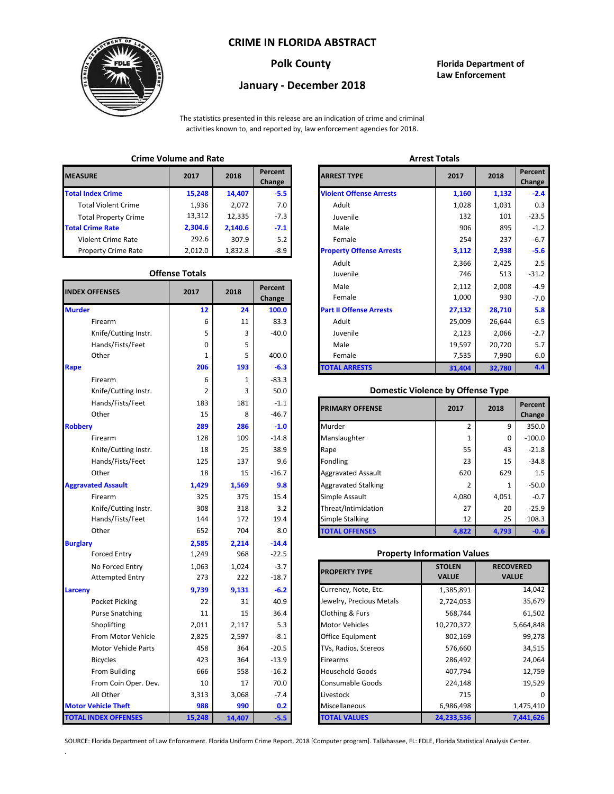### **CRIME IN FLORIDA ABSTRACT**



## **Polk County Florida Department of Law Enforcement**

# **January - December 2018**

The statistics presented in this release are an indication of crime and criminal activities known to, and reported by, law enforcement agencies for 2018.

## **Crime Volume and Rate Arrest Totals**

| <b>MEASURE</b>              | 2017    | 2018    | Percent<br>Change | <b>ARREST TYPE</b>             |
|-----------------------------|---------|---------|-------------------|--------------------------------|
| <b>Total Index Crime</b>    | 15,248  | 14,407  | $-5.5$            | <b>Violent Offense Arrests</b> |
| <b>Total Violent Crime</b>  | 1.936   | 2,072   | 7.0               | Adult                          |
| <b>Total Property Crime</b> | 13,312  | 12,335  | $-7.3$            | Juvenile                       |
| <b>Total Crime Rate</b>     | 2,304.6 | 2.140.6 | $-7.1$            | Male                           |
| Violent Crime Rate          | 292.6   | 307.9   | 5.2               | Female                         |
| <b>Property Crime Rate</b>  | 2,012.0 | 1,832.8 | -8.9              | <b>Property Offense Arrest</b> |

#### **Offense Totals**

| <b>INDEX OFFENSES</b>       | 2017   | 2018   | Percent<br>Change | Male<br>Female                           | 2,112<br>1,000 | 2,008<br>930     | $-4.9$<br>$-7.0$ |
|-----------------------------|--------|--------|-------------------|------------------------------------------|----------------|------------------|------------------|
| <b>Murder</b>               | 12     | 24     | 100.0             | <b>Part II Offense Arrests</b>           | 27,132         | 28,710           | 5.8              |
| Firearm                     | 6      | 11     | 83.3              | Adult                                    | 25,009         | 26,644           | 6.5              |
| Knife/Cutting Instr.        | 5      | 3      | $-40.0$           | Juvenile                                 | 2,123          | 2,066            | $-2.7$           |
| Hands/Fists/Feet            | 0      | 5      |                   | Male                                     | 19,597         | 20,720           | 5.7              |
| Other                       | 1      | 5      | 400.0             | Female                                   | 7,535          | 7,990            | 6.0              |
| Rape                        | 206    | 193    | $-6.3$            | <b>TOTAL ARRESTS</b>                     | 31,404         | 32,780           | 4.4              |
| Firearm                     | 6      | 1      | $-83.3$           |                                          |                |                  |                  |
| Knife/Cutting Instr.        | 2      | 3      | 50.0              | <b>Domestic Violence by Offense Type</b> |                |                  |                  |
| Hands/Fists/Feet            | 183    | 181    | $-1.1$            | <b>PRIMARY OFFENSE</b>                   | 2017           | 2018             | Percent          |
| Other                       | 15     | 8      | $-46.7$           |                                          |                |                  | Change           |
| <b>Robbery</b>              | 289    | 286    | $-1.0$            | Murder                                   | $\overline{2}$ | 9                | 350.0            |
| Firearm                     | 128    | 109    | $-14.8$           | Manslaughter                             | 1              | $\mathbf 0$      | $-100.0$         |
| Knife/Cutting Instr.        | 18     | 25     | 38.9              | Rape                                     | 55             | 43               | $-21.8$          |
| Hands/Fists/Feet            | 125    | 137    | 9.6               | Fondling                                 | 23             | 15               | $-34.8$          |
| Other                       | 18     | 15     | $-16.7$           | <b>Aggravated Assault</b>                | 620            | 629              | 1.5              |
| <b>Aggravated Assault</b>   | 1,429  | 1,569  | 9.8               | <b>Aggravated Stalking</b>               | 2              | 1                | $-50.0$          |
| Firearm                     | 325    | 375    | 15.4              | Simple Assault                           | 4,080          | 4,051            | $-0.7$           |
| Knife/Cutting Instr.        | 308    | 318    | 3.2               | Threat/Intimidation                      | 27             | 20               | $-25.9$          |
| Hands/Fists/Feet            | 144    | 172    | 19.4              | <b>Simple Stalking</b>                   | 12             | 25               | 108.3            |
| Other                       | 652    | 704    | 8.0               | <b>TOTAL OFFENSES</b>                    | 4,822          | 4,793            | $-0.6$           |
| <b>Burglary</b>             | 2,585  | 2,214  | $-14.4$           |                                          |                |                  |                  |
| <b>Forced Entry</b>         | 1,249  | 968    | $-22.5$           | <b>Property Information Values</b>       |                |                  |                  |
| No Forced Entry             | 1,063  | 1,024  | $-3.7$            | <b>PROPERTY TYPE</b>                     | <b>STOLEN</b>  | <b>RECOVERED</b> |                  |
| <b>Attempted Entry</b>      | 273    | 222    | $-18.7$           |                                          | <b>VALUE</b>   | <b>VALUE</b>     |                  |
| Larceny                     | 9,739  | 9,131  | $-6.2$            | Currency, Note, Etc.                     | 1,385,891      |                  | 14,042           |
| Pocket Picking              | 22     | 31     | 40.9              | Jewelry, Precious Metals                 | 2,724,053      |                  | 35,679           |
| <b>Purse Snatching</b>      | 11     | 15     | 36.4              | Clothing & Furs                          | 568,744        |                  | 61,502           |
| Shoplifting                 | 2,011  | 2,117  | 5.3               | <b>Motor Vehicles</b>                    | 10,270,372     |                  | 5,664,848        |
| From Motor Vehicle          | 2,825  | 2,597  | $-8.1$            | Office Equipment                         | 802,169        | 99,278           |                  |
| Motor Vehicle Parts         | 458    | 364    | $-20.5$           | TVs, Radios, Stereos                     | 576,660        |                  | 34,515           |
| <b>Bicycles</b>             | 423    | 364    | $-13.9$           | Firearms                                 | 286,492        |                  | 24,064           |
| From Building               | 666    | 558    | $-16.2$           | <b>Household Goods</b>                   | 407,794        | 12,759           |                  |
| From Coin Oper. Dev.        | 10     | 17     | 70.0              | Consumable Goods                         | 224,148        | 19,529           |                  |
| All Other                   | 3,313  | 3,068  | $-7.4$            | Livestock                                | 715            |                  |                  |
| <b>Motor Vehicle Theft</b>  | 988    | 990    | 0.2               | Miscellaneous                            | 6,986,498      |                  | 1,475,410        |
| <b>TOTAL INDEX OFFENSES</b> | 15,248 | 14,407 | $-5.5$            | <b>TOTAL VALUES</b>                      | 24,233,536     |                  | 7,441,626        |

.

|                      | טוויייני • טומוויכ מוומ וימנכ |         |                   |                                 | <b>AUCHLICH</b> |        |  |  |
|----------------------|-------------------------------|---------|-------------------|---------------------------------|-----------------|--------|--|--|
| łЕ                   | 2017                          | 2018    | Percent<br>Change | <b>ARREST TYPE</b>              | 2017            | 2018   |  |  |
| dex Crime            | 15,248                        | 14,407  | $-5.5$            | <b>Violent Offense Arrests</b>  | 1,160           | 1,132  |  |  |
| ıl Violent Crime     | 1,936                         | 2,072   | 7.0               | Adult                           | 1,028           | 1,031  |  |  |
| Il Property Crime    | 13,312                        | 12,335  | $-7.3$            | Juvenile                        | 132             | 101    |  |  |
| me Rate              | 2,304.6                       | 2,140.6 | $-7.1$            | Male                            | 906             | 895    |  |  |
| ent Crime Rate       | 292.6                         | 307.9   | 5.2               | Female                          | 254             | 237    |  |  |
| erty Crime Rate      | 2,012.0                       | 1,832.8 | $-8.9$            | <b>Property Offense Arrests</b> | 3,112           | 2,938  |  |  |
|                      |                               |         |                   | Adult                           | 2,366           | 2,425  |  |  |
|                      | <b>Offense Totals</b>         |         |                   | Juvenile                        | 746             | 513    |  |  |
| <b>FFENSES</b>       | 2017                          | 2018    | Percent           | Male                            | 2,112           | 2,008  |  |  |
|                      |                               |         | Change            | Female                          | 1,000           | 930    |  |  |
|                      | 12                            | 24      | 100.0             | <b>Part II Offense Arrests</b>  | 27,132          | 28,710 |  |  |
| Firearm              | 6                             | 11      | 83.3              | Adult                           | 25,009          | 26,644 |  |  |
| Knife/Cutting Instr. | 5                             | 3       | $-40.0$           | Juvenile                        | 2,123           | 2,066  |  |  |
| Hands/Fists/Feet     | 0                             | 5       |                   | Male                            | 19,597          | 20,720 |  |  |
| Other                | 1                             | 5       | 400.0             | Female                          | 7,535           | 7,990  |  |  |
|                      | 206                           | 193     | $-6.3$            | <b>TOTAL ARRESTS</b>            | 31,404          | 32,780 |  |  |
|                      |                               |         | -- -              |                                 |                 |        |  |  |

#### 2 **Domestic Violence by Offense Type**

| Hands/Fists/Feet<br>Other | 183<br>15 | 181<br>8 | $-1.1$<br>$-46.7$ | <b>PRIMARY OFFENSE</b>     | 2017  | 2018  | Percent<br>Change |
|---------------------------|-----------|----------|-------------------|----------------------------|-------|-------|-------------------|
|                           | 289       | 286      | $-1.0$            | Murder                     |       | 9     | 350.0             |
| Firearm                   | 128       | 109      | $-14.8$           | Manslaughter               |       | 0     | $-100.0$          |
| Knife/Cutting Instr.      | 18        | 25       | 38.9              | Rape                       | 55    | 43    | $-21.8$           |
| Hands/Fists/Feet          | 125       | 137      | 9.6               | Fondling                   | 23    | 15    | $-34.8$           |
| Other                     | 18        | 15       | $-16.7$           | <b>Aggravated Assault</b>  | 620   | 629   | 1.5               |
| ted Assault               | 1,429     | 1,569    | 9.8               | <b>Aggravated Stalking</b> |       | 1     | $-50.0$           |
| Firearm                   | 325       | 375      | 15.4              | Simple Assault             | 4,080 | 4,051 | $-0.7$            |
| Knife/Cutting Instr.      | 308       | 318      | 3.2               | Threat/Intimidation        | 27    | 20    | $-25.9$           |
| Hands/Fists/Feet          | 144       | 172      | 19.4              | <b>Simple Stalking</b>     | 12    | 25    | 108.3             |
| Other                     | 652       | 704      | 8.0               | <b>TOTAL OFFENSES</b>      | 4,822 | 4,793 | $-0.6$            |

#### **Property Information Values**

| 1,063 | 1,024  | $-3.7$  | <b>PROPERTY TYPE</b>     | <b>STOLEN</b> | <b>RECOVERED</b> |
|-------|--------|---------|--------------------------|---------------|------------------|
| 273   | 222    | $-18.7$ |                          | <b>VALUE</b>  | <b>VALUE</b>     |
| 9,739 | 9,131  | $-6.2$  | Currency, Note, Etc.     | 1,385,891     | 14,042           |
| 22    | 31     | 40.9    | Jewelry, Precious Metals | 2,724,053     | 35,679           |
| 11    | 15     | 36.4    | Clothing & Furs          | 568,744       | 61,502           |
| 2,011 | 2,117  | 5.3     | <b>Motor Vehicles</b>    | 10,270,372    | 5,664,848        |
| 2,825 | 2,597  | $-8.1$  | Office Equipment         | 802,169       | 99,278           |
| 458   | 364    | $-20.5$ | TVs, Radios, Stereos     | 576,660       | 34,515           |
| 423   | 364    | $-13.9$ | <b>Firearms</b>          | 286,492       | 24,064           |
| 666   | 558    | $-16.2$ | <b>Household Goods</b>   | 407,794       | 12,759           |
| 10    | 17     | 70.0    | <b>Consumable Goods</b>  | 224,148       | 19,529           |
| 3,313 | 3,068  | $-7.4$  | Livestock                | 715           |                  |
| 988   | 990    | 0.2     | Miscellaneous            | 6,986,498     | 1,475,410        |
| 5,248 | 14,407 | $-5.5$  | <b>TOTAL VALUES</b>      | 24,233,536    | 7,441,626        |

SOURCE: Florida Department of Law Enforcement. Florida Uniform Crime Report, 2018 [Computer program]. Tallahassee, FL: FDLE, Florida Statistical Analysis Center.